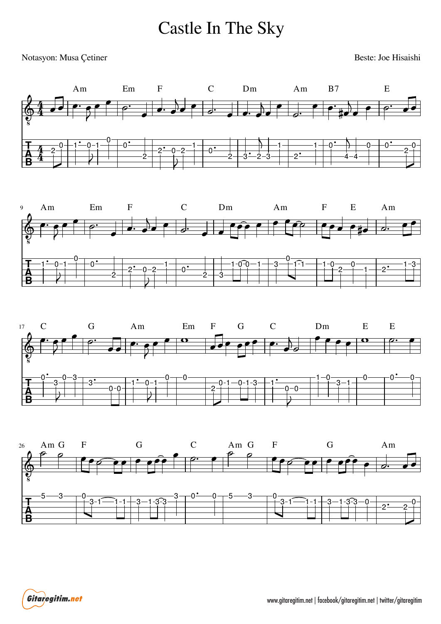## Castle In The Sky

## Notasyon: Musa Çetiner

Beste: Joe Hisaishi